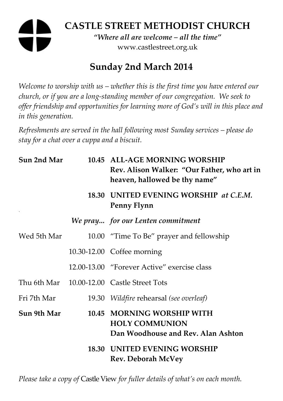# **CASTLE STREET METHODIST CHURCH**

*"Where all are welcome – all the time"*  www.castlestreet.org.uk

## **Sunday 2nd March 2014**

*Welcome to worship with us – whether this is the first time you have entered our church, or if you are a long-standing member of our congregation. We seek to offer friendship and opportunities for learning more of God's will in this place and in this generation.* 

*Refreshments are served in the hall following most Sunday services – please do stay for a chat over a cuppa and a biscuit.* 

| Sun 2nd Mar | 10.45 ALL-AGE MORNING WORSHIP<br>Rev. Alison Walker: "Our Father, who art in<br>heaven, hallowed be thy name" |
|-------------|---------------------------------------------------------------------------------------------------------------|
|             | 18.30 UNITED EVENING WORSHIP at C.E.M.<br>Penny Flynn                                                         |
|             | We pray for our Lenten commitment                                                                             |
| Wed 5th Mar | 10.00 "Time To Be" prayer and fellowship                                                                      |
|             | 10.30-12.00 Coffee morning                                                                                    |
|             | 12.00-13.00 "Forever Active" exercise class                                                                   |
|             | Thu 6th Mar 10.00-12.00 Castle Street Tots                                                                    |
| Fri 7th Mar | 19.30 Wildfire rehearsal (see overleaf)                                                                       |
| Sun 9th Mar | 10.45 MORNING WORSHIP WITH<br><b>HOLY COMMUNION</b><br>Dan Woodhouse and Rev. Alan Ashton                     |
|             | <b>18.30 UNITED EVENING WORSHIP</b><br><b>Rev. Deborah McVey</b>                                              |

*Please take a copy of* Castle View *for fuller details of what's on each month.*